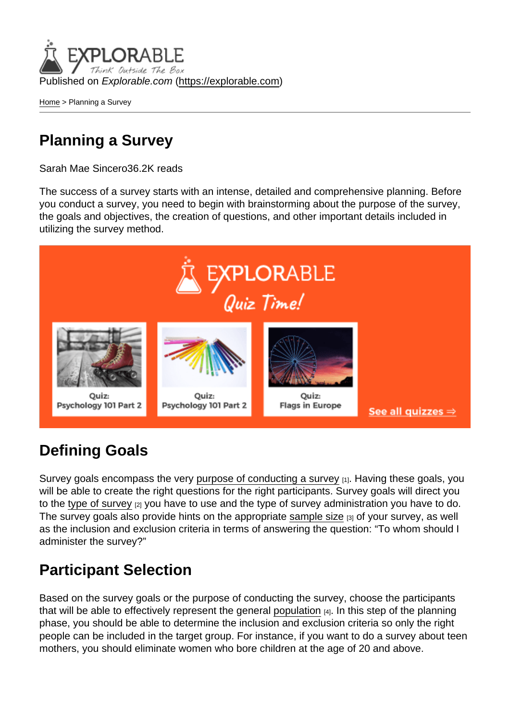Published on Explorable.com (<https://explorable.com>)

[Home](https://explorable.com/) > Planning a Survey

## Planning a Survey

Sarah Mae Sincero36.2K reads

The success of a survey starts with an intense, detailed and comprehensive planning. Before you conduct a survey, you need to begin with brainstorming about the purpose of the survey, the goals and objectives, the creation of questions, and other important details included in utilizing the survey method.

### Defining Goals

Survey goals encompass the very [purpose of conducting a survey](https://explorable.com/defining-survey-goals) [1]. Having these goals, you will be able to create the right questions for the right participants. Survey goals will direct you to the [type of survey](https://explorable.com/types-of-survey) [2] you have to use and the type of survey administration you have to do. The survey goals also provide hints on the appropriate [sample size](https://explorable.com/sample-size) [3] of your survey, as well as the inclusion and exclusion criteria in terms of answering the question: "To whom should I administer the survey?"

### Participant Selection

Based on the survey goals or the purpose of conducting the survey, choose the participants that will be able to effectively represent the general [population](https://explorable.com/research-population) [4]. In this step of the planning phase, you should be able to determine the inclusion and exclusion criteria so only the right people can be included in the target group. For instance, if you want to do a survey about teen mothers, you should eliminate women who bore children at the age of 20 and above.